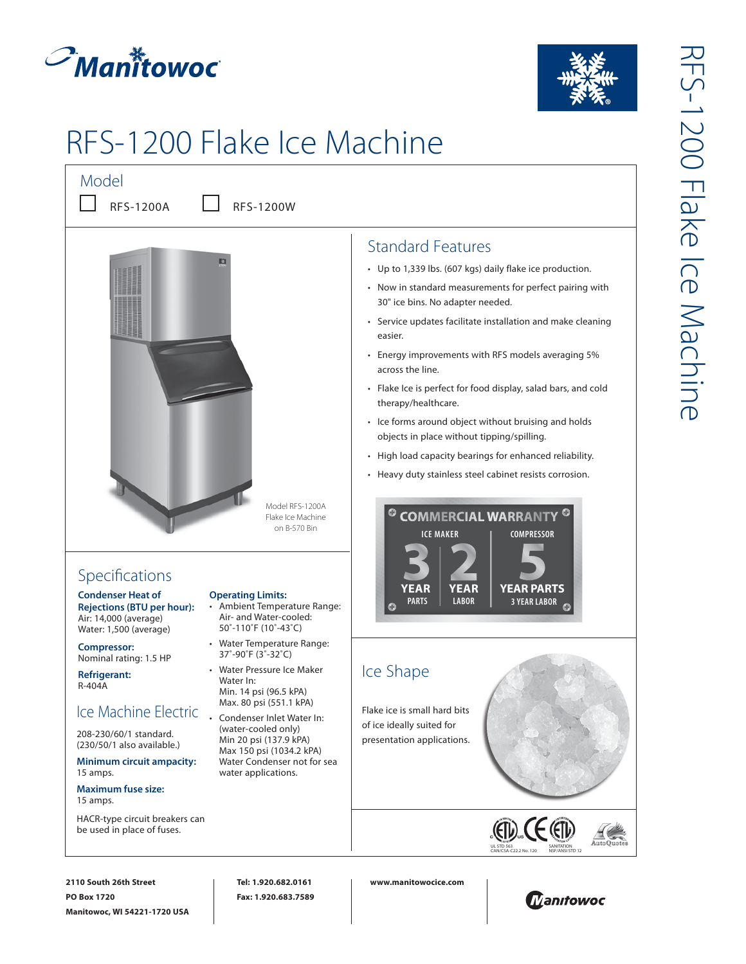



# RFS-1200 Flake Ice Machine

Model  $\blacksquare$ 

RFS-1200A RFS-1200W



# Specifications

**Condenser Heat of Rejections (BTU per hour):**  Air: 14,000 (average) Water: 1,500 (average)

**Compressor:** Nominal rating: 1.5 HP

**Refrigerant:**  R-404A

## Ice Machine Electric

208-230/60/1 standard. (230/50/1 also available.)

**Minimum circuit ampacity:**  15 amps.

**Maximum fuse size:**  15 amps.

HACR-type circuit breakers can be used in place of fuses.

#### **Operating Limits:**

- Ambient Temperature Range: Air- and Water-cooled: 50˚-110˚F (10˚-43˚C)
- • Water Temperature Range: 37˚-90˚F (3˚-32˚C)
- • Water Pressure Ice Maker Water In: Min. 14 psi (96.5 kPA) Max. 80 psi (551.1 kPA)
- Condenser Inlet Water In: (water-cooled only) Min 20 psi (137.9 kPA) Max 150 psi (1034.2 kPA) Water Condenser not for sea water applications.

## Standard Features

- • Up to 1,339 lbs. (607 kgs) daily flake ice production.
- • Now in standard measurements for perfect pairing with 30" ice bins. No adapter needed.
- • Service updates facilitate installation and make cleaning easier.
- • Energy improvements with RFS models averaging 5% across the line.
- • Flake Ice is perfect for food display, salad bars, and cold therapy/healthcare.
- • Ice forms around object without bruising and holds objects in place without tipping/spilling.
- • High load capacity bearings for enhanced reliability.
- Heavy duty stainless steel cabinet resists corrosion.



## Ice Shape

Flake ice is small hard bits of ice ideally suited for presentation applications.



**2110 South 26th Street PO Box 1720 Manitowoc, WI 54221-1720 USA**

**Tel: 1.920.682.0161 Fax: 1.920.683.7589** **www.manitowocice.com**



NSF/ANSI STD 12

 $\epsilon$  ( $\epsilon$ T)

UL STD 563

CAN/CSA-C22.2 No. 120 SANITATION